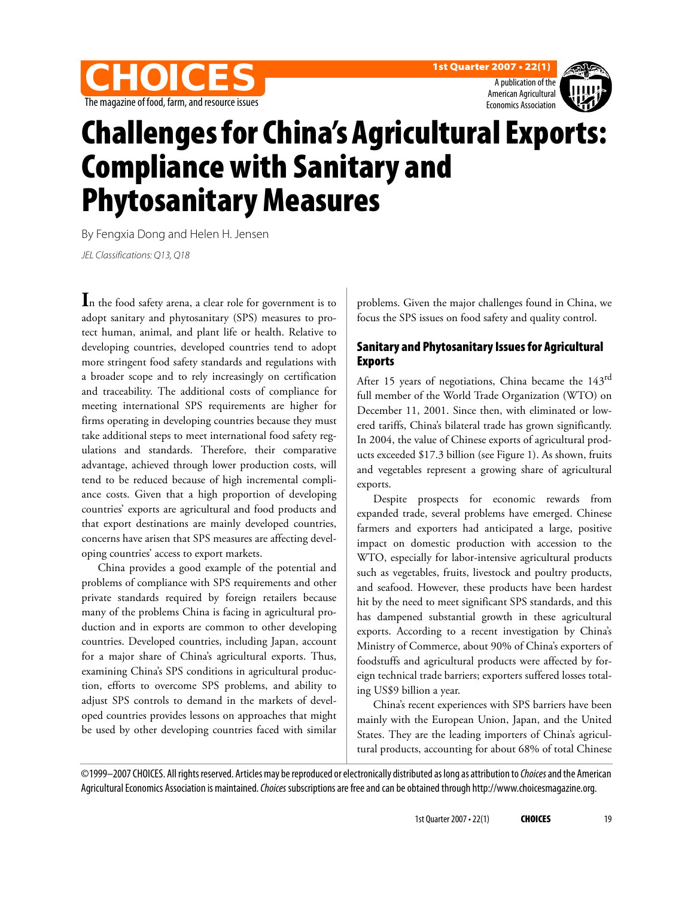





# Challenges for China's Agricultural Exports: Compliance with Sanitary and Phytosanitary Measures

By Fengxia Dong and Helen H. Jensen

JEL Classifications: Q13, Q18

**I**n the food safety arena, a clear role for government is to adopt sanitary and phytosanitary (SPS) measures to protect human, animal, and plant life or health. Relative to developing countries, developed countries tend to adopt more stringent food safety standards and regulations with a broader scope and to rely increasingly on certification and traceability. The additional costs of compliance for meeting international SPS requirements are higher for firms operating in developing countries because they must take additional steps to meet international food safety regulations and standards. Therefore, their comparative advantage, achieved through lower production costs, will tend to be reduced because of high incremental compliance costs. Given that a high proportion of developing countries' exports are agricultural and food products and that export destinations are mainly developed countries, concerns have arisen that SPS measures are affecting developing countries' access to export markets.

China provides a good example of the potential and problems of compliance with SPS requirements and other private standards required by foreign retailers because many of the problems China is facing in agricultural production and in exports are common to other developing countries. Developed countries, including Japan, account for a major share of China's agricultural exports. Thus, examining China's SPS conditions in agricultural production, efforts to overcome SPS problems, and ability to adjust SPS controls to demand in the markets of developed countries provides lessons on approaches that might be used by other developing countries faced with similar

problems. Given the major challenges found in China, we focus the SPS issues on food safety and quality control.

## Sanitary and Phytosanitary Issues for Agricultural Exports

After 15 years of negotiations, China became the 143<sup>rd</sup> full member of the World Trade Organization (WTO) on December 11, 2001. Since then, with eliminated or lowered tariffs, China's bilateral trade has grown significantly. In 2004, the value of Chinese exports of agricultural products exceeded \$17.3 billion (see Figure 1). As shown, fruits and vegetables represent a growing share of agricultural exports.

Despite prospects for economic rewards from expanded trade, several problems have emerged. Chinese farmers and exporters had anticipated a large, positive impact on domestic production with accession to the WTO, especially for labor-intensive agricultural products such as vegetables, fruits, livestock and poultry products, and seafood. However, these products have been hardest hit by the need to meet significant SPS standards, and this has dampened substantial growth in these agricultural exports. According to a recent investigation by China's Ministry of Commerce, about 90% of China's exporters of foodstuffs and agricultural products were affected by foreign technical trade barriers; exporters suffered losses totaling US\$9 billion a year.

China's recent experiences with SPS barriers have been mainly with the European Union, Japan, and the United States. They are the leading importers of China's agricultural products, accounting for about 68% of total Chinese

©1999–2007 CHOICES. All rights reserved. Articles may be reproduced or electronically distributed as long as attribution to Choices and the American Agricultural Economics Association is maintained. Choices subscriptions are free and can be obtained through http://www.choicesmagazine.org.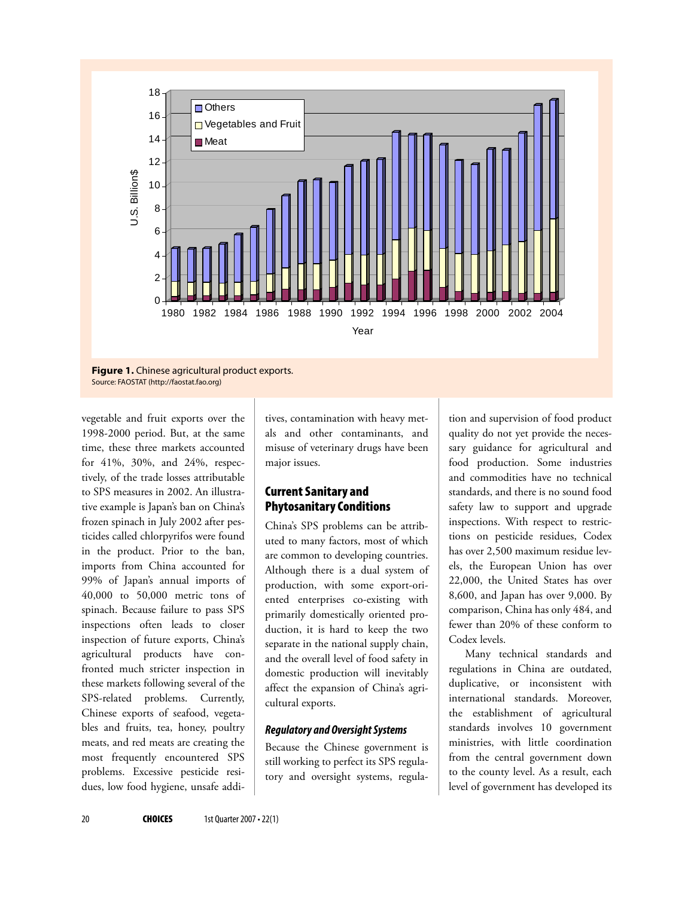

**Figure 1.** Chinese agricultural product exports. Source: FAOSTAT (http://faostat.fao.org)

vegetable and fruit exports over the 1998-2000 period. But, at the same time, these three markets accounted for 41%, 30%, and 24%, respectively, of the trade losses attributable to SPS measures in 2002. An illustrative example is Japan's ban on China's frozen spinach in July 2002 after pesticides called chlorpyrifos were found in the product. Prior to the ban, imports from China accounted for 99% of Japan's annual imports of 40,000 to 50,000 metric tons of spinach. Because failure to pass SPS inspections often leads to closer inspection of future exports, China's agricultural products have confronted much stricter inspection in these markets following several of the SPS-related problems. Currently, Chinese exports of seafood, vegetables and fruits, tea, honey, poultry meats, and red meats are creating the most frequently encountered SPS problems. Excessive pesticide residues, low food hygiene, unsafe additives, contamination with heavy metals and other contaminants, and misuse of veterinary drugs have been major issues.

## Current Sanitary and Phytosanitary Conditions

China's SPS problems can be attributed to many factors, most of which are common to developing countries. Although there is a dual system of production, with some export-oriented enterprises co-existing with primarily domestically oriented production, it is hard to keep the two separate in the national supply chain, and the overall level of food safety in domestic production will inevitably affect the expansion of China's agricultural exports.

#### **Regulatory and Oversight Systems**

Because the Chinese government is still working to perfect its SPS regulatory and oversight systems, regulation and supervision of food product quality do not yet provide the necessary guidance for agricultural and food production. Some industries and commodities have no technical standards, and there is no sound food safety law to support and upgrade inspections. With respect to restrictions on pesticide residues, Codex has over 2,500 maximum residue levels, the European Union has over 22,000, the United States has over 8,600, and Japan has over 9,000. By comparison, China has only 484, and fewer than 20% of these conform to Codex levels.

Many technical standards and regulations in China are outdated, duplicative, or inconsistent with international standards. Moreover, the establishment of agricultural standards involves 10 government ministries, with little coordination from the central government down to the county level. As a result, each level of government has developed its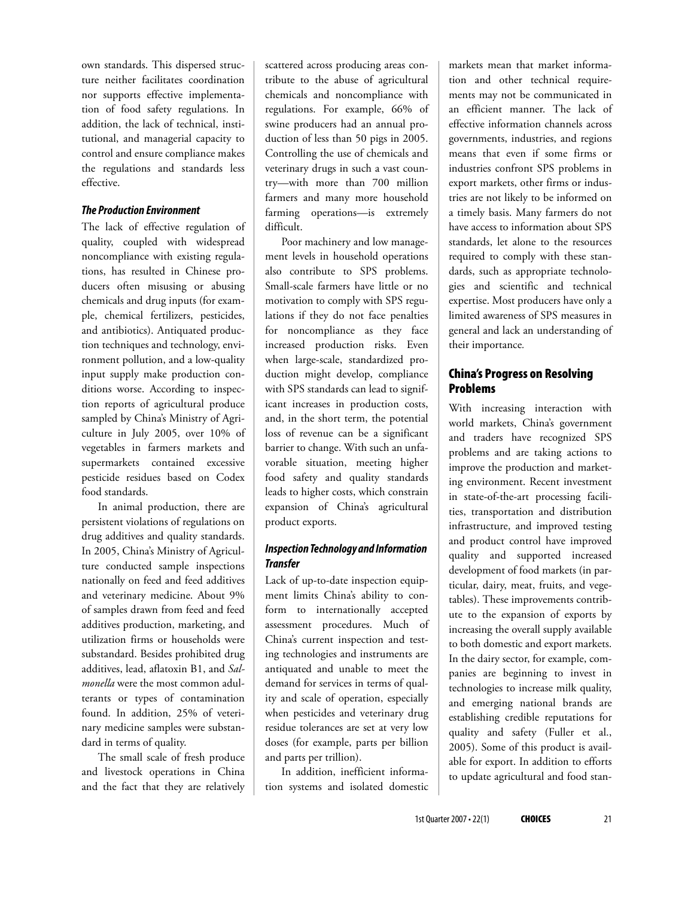own standards. This dispersed structure neither facilitates coordination nor supports effective implementation of food safety regulations. In addition, the lack of technical, institutional, and managerial capacity to control and ensure compliance makes the regulations and standards less effective.

#### **The Production Environment**

The lack of effective regulation of quality, coupled with widespread noncompliance with existing regulations, has resulted in Chinese producers often misusing or abusing chemicals and drug inputs (for example, chemical fertilizers, pesticides, and antibiotics). Antiquated production techniques and technology, environment pollution, and a low-quality input supply make production conditions worse. According to inspection reports of agricultural produce sampled by China's Ministry of Agriculture in July 2005, over 10% of vegetables in farmers markets and supermarkets contained excessive pesticide residues based on Codex food standards.

In animal production, there are persistent violations of regulations on drug additives and quality standards. In 2005, China's Ministry of Agriculture conducted sample inspections nationally on feed and feed additives and veterinary medicine. About 9% of samples drawn from feed and feed additives production, marketing, and utilization firms or households were substandard. Besides prohibited drug additives, lead, aflatoxin B1, and *Salmonella* were the most common adulterants or types of contamination found. In addition, 25% of veterinary medicine samples were substandard in terms of quality.

The small scale of fresh produce and livestock operations in China and the fact that they are relatively scattered across producing areas contribute to the abuse of agricultural chemicals and noncompliance with regulations. For example, 66% of swine producers had an annual production of less than 50 pigs in 2005. Controlling the use of chemicals and veterinary drugs in such a vast country—with more than 700 million farmers and many more household farming operations—is extremely difficult.

Poor machinery and low management levels in household operations also contribute to SPS problems. Small-scale farmers have little or no motivation to comply with SPS regulations if they do not face penalties for noncompliance as they face increased production risks. Even when large-scale, standardized production might develop, compliance with SPS standards can lead to significant increases in production costs, and, in the short term, the potential loss of revenue can be a significant barrier to change. With such an unfavorable situation, meeting higher food safety and quality standards leads to higher costs, which constrain expansion of China's agricultural product exports.

#### **Inspection Technology and Information Transfer**

Lack of up-to-date inspection equipment limits China's ability to conform to internationally accepted assessment procedures. Much of China's current inspection and testing technologies and instruments are antiquated and unable to meet the demand for services in terms of quality and scale of operation, especially when pesticides and veterinary drug residue tolerances are set at very low doses (for example, parts per billion and parts per trillion).

In addition, inefficient information systems and isolated domestic

markets mean that market information and other technical requirements may not be communicated in an efficient manner. The lack of effective information channels across governments, industries, and regions means that even if some firms or industries confront SPS problems in export markets, other firms or industries are not likely to be informed on a timely basis. Many farmers do not have access to information about SPS standards, let alone to the resources required to comply with these standards, such as appropriate technologies and scientific and technical expertise. Most producers have only a limited awareness of SPS measures in general and lack an understanding of their importance*.*

## China's Progress on Resolving Problems

With increasing interaction with world markets, China's government and traders have recognized SPS problems and are taking actions to improve the production and marketing environment. Recent investment in state-of-the-art processing facilities, transportation and distribution infrastructure, and improved testing and product control have improved quality and supported increased development of food markets (in particular, dairy, meat, fruits, and vegetables). These improvements contribute to the expansion of exports by increasing the overall supply available to both domestic and export markets. In the dairy sector, for example, companies are beginning to invest in technologies to increase milk quality, and emerging national brands are establishing credible reputations for quality and safety (Fuller et al., 2005). Some of this product is available for export. In addition to efforts to update agricultural and food stan-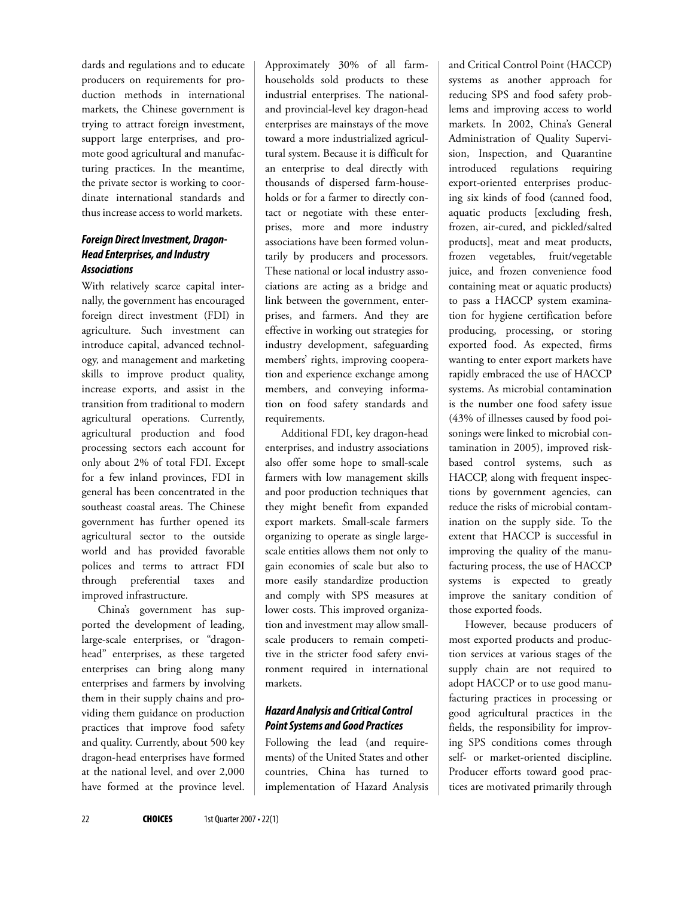dards and regulations and to educate producers on requirements for production methods in international markets, the Chinese government is trying to attract foreign investment, support large enterprises, and promote good agricultural and manufacturing practices. In the meantime, the private sector is working to coordinate international standards and thus increase access to world markets.

#### **Foreign Direct Investment, Dragon-Head Enterprises, and Industry Associations**

With relatively scarce capital internally, the government has encouraged foreign direct investment (FDI) in agriculture. Such investment can introduce capital, advanced technology, and management and marketing skills to improve product quality, increase exports, and assist in the transition from traditional to modern agricultural operations. Currently, agricultural production and food processing sectors each account for only about 2% of total FDI. Except for a few inland provinces, FDI in general has been concentrated in the southeast coastal areas. The Chinese government has further opened its agricultural sector to the outside world and has provided favorable polices and terms to attract FDI through preferential taxes and improved infrastructure.

China's government has supported the development of leading, large-scale enterprises, or "dragonhead" enterprises, as these targeted enterprises can bring along many enterprises and farmers by involving them in their supply chains and providing them guidance on production practices that improve food safety and quality. Currently, about 500 key dragon-head enterprises have formed at the national level, and over 2,000 have formed at the province level.

Approximately 30% of all farmhouseholds sold products to these industrial enterprises. The nationaland provincial-level key dragon-head enterprises are mainstays of the move toward a more industrialized agricultural system. Because it is difficult for an enterprise to deal directly with thousands of dispersed farm-households or for a farmer to directly contact or negotiate with these enterprises, more and more industry associations have been formed voluntarily by producers and processors. These national or local industry associations are acting as a bridge and link between the government, enterprises, and farmers. And they are effective in working out strategies for industry development, safeguarding members' rights, improving cooperation and experience exchange among members, and conveying information on food safety standards and requirements.

Additional FDI, key dragon-head enterprises, and industry associations also offer some hope to small-scale farmers with low management skills and poor production techniques that they might benefit from expanded export markets. Small-scale farmers organizing to operate as single largescale entities allows them not only to gain economies of scale but also to more easily standardize production and comply with SPS measures at lower costs. This improved organization and investment may allow smallscale producers to remain competitive in the stricter food safety environment required in international markets.

#### **Hazard Analysis and Critical Control Point Systems and Good Practices**

Following the lead (and requirements) of the United States and other countries, China has turned to implementation of Hazard Analysis

and Critical Control Point (HACCP) systems as another approach for reducing SPS and food safety problems and improving access to world markets. In 2002, China's General Administration of Quality Supervision, Inspection, and Quarantine introduced regulations requiring export-oriented enterprises producing six kinds of food (canned food, aquatic products [excluding fresh, frozen, air-cured, and pickled/salted products], meat and meat products, frozen vegetables, fruit/vegetable juice, and frozen convenience food containing meat or aquatic products) to pass a HACCP system examination for hygiene certification before producing, processing, or storing exported food. As expected, firms wanting to enter export markets have rapidly embraced the use of HACCP systems. As microbial contamination is the number one food safety issue (43% of illnesses caused by food poisonings were linked to microbial contamination in 2005), improved riskbased control systems, such as HACCP, along with frequent inspections by government agencies, can reduce the risks of microbial contamination on the supply side. To the extent that HACCP is successful in improving the quality of the manufacturing process, the use of HACCP systems is expected to greatly improve the sanitary condition of those exported foods.

However, because producers of most exported products and production services at various stages of the supply chain are not required to adopt HACCP or to use good manufacturing practices in processing or good agricultural practices in the fields, the responsibility for improving SPS conditions comes through self- or market-oriented discipline. Producer efforts toward good practices are motivated primarily through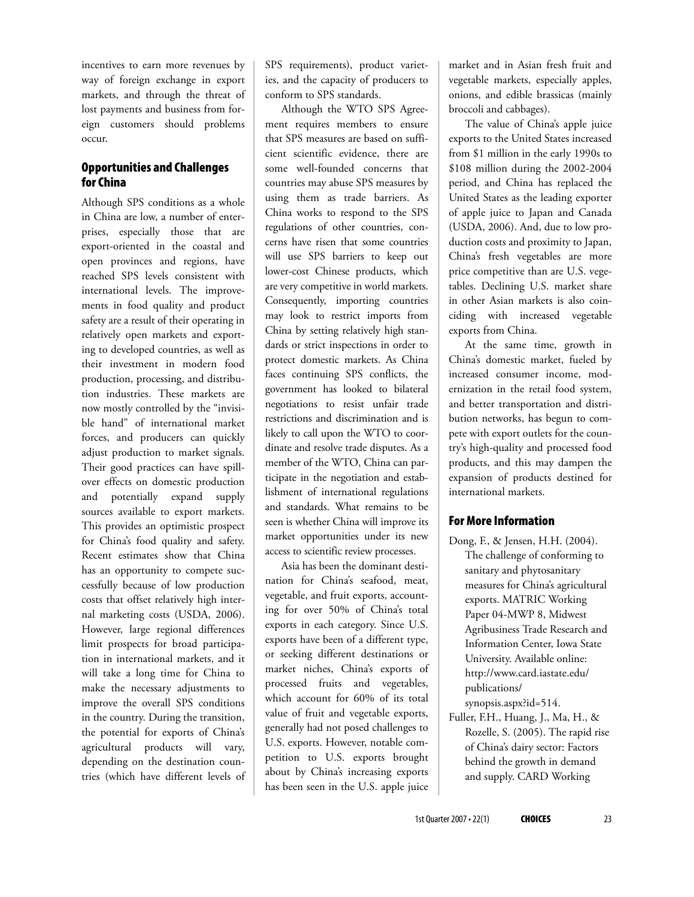incentives to earn more revenues by way of foreign exchange in export markets, and through the threat of lost payments and business from foreign customers should problems occur.

## Opportunities and Challenges for China

Although SPS conditions as a whole in China are low, a number of enterprises, especially those that are export-oriented in the coastal and open provinces and regions, have reached SPS levels consistent with international levels. The improvements in food quality and product safety are a result of their operating in relatively open markets and exporting to developed countries, as well as their investment in modern food production, processing, and distribution industries. These markets are now mostly controlled by the "invisible hand" of international market forces, and producers can quickly adjust production to market signals. Their good practices can have spillover effects on domestic production and potentially expand supply sources available to export markets. This provides an optimistic prospect for China's food quality and safety. Recent estimates show that China has an opportunity to compete successfully because of low production costs that offset relatively high internal marketing costs (USDA, 2006). However, large regional differences limit prospects for broad participation in international markets, and it will take a long time for China to make the necessary adjustments to improve the overall SPS conditions in the country. During the transition, the potential for exports of China's agricultural products will vary, depending on the destination countries (which have different levels of SPS requirements), product varieties, and the capacity of producers to conform to SPS standards.

Although the WTO SPS Agreement requires members to ensure that SPS measures are based on sufficient scientific evidence, there are some well-founded concerns that countries may abuse SPS measures by using them as trade barriers. As China works to respond to the SPS regulations of other countries, concerns have risen that some countries will use SPS barriers to keep out lower-cost Chinese products, which are very competitive in world markets. Consequently, importing countries may look to restrict imports from China by setting relatively high standards or strict inspections in order to protect domestic markets. As China faces continuing SPS conflicts, the government has looked to bilateral negotiations to resist unfair trade restrictions and discrimination and is likely to call upon the WTO to coordinate and resolve trade disputes. As a member of the WTO, China can participate in the negotiation and establishment of international regulations and standards. What remains to be seen is whether China will improve its market opportunities under its new access to scientific review processes.

Asia has been the dominant destination for China's seafood, meat, vegetable, and fruit exports, accounting for over 50% of China's total exports in each category. Since U.S. exports have been of a different type, or seeking different destinations or market niches, China's exports of processed fruits and vegetables, which account for 60% of its total value of fruit and vegetable exports, generally had not posed challenges to U.S. exports. However, notable competition to U.S. exports brought about by China's increasing exports has been seen in the U.S. apple juice

market and in Asian fresh fruit and vegetable markets, especially apples, onions, and edible brassicas (mainly broccoli and cabbages).

The value of China's apple juice exports to the United States increased from \$1 million in the early 1990s to \$108 million during the 2002-2004 period, and China has replaced the United States as the leading exporter of apple juice to Japan and Canada (USDA, 2006). And, due to low production costs and proximity to Japan, China's fresh vegetables are more price competitive than are U.S. vegetables. Declining U.S. market share in other Asian markets is also coinciding with increased vegetable exports from China.

At the same time, growth in China's domestic market, fueled by increased consumer income, modernization in the retail food system, and better transportation and distribution networks, has begun to compete with export outlets for the country's high-quality and processed food products, and this may dampen the expansion of products destined for international markets.

## For More Information

- Dong, F., & Jensen, H.H. (2004). The challenge of conforming to sanitary and phytosanitary measures for China's agricultural exports. MATRIC Working Paper 04-MWP 8, Midwest Agribusiness Trade Research and Information Center, Iowa State University. Available online: http://www.card.iastate.edu/ publications/ synopsis.aspx?id=514.
- Fuller, F.H., Huang, J., Ma, H., & Rozelle, S. (2005). The rapid rise of China's dairy sector: Factors behind the growth in demand and supply. CARD Working